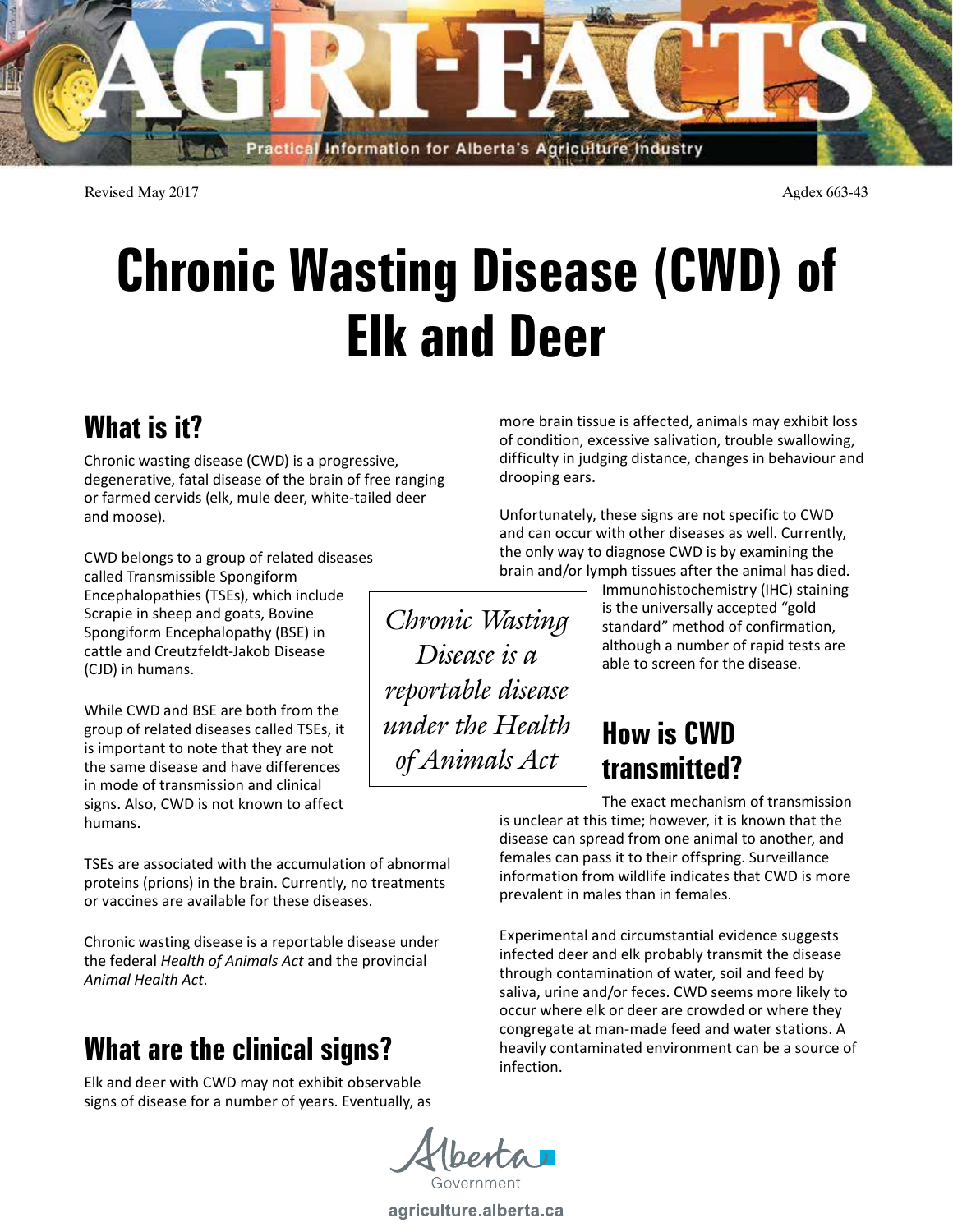

Revised May 2017 **Agdex 663-43** 

# **Chronic Wasting Disease (CWD) of Elk and Deer**

# **What is it?**

Chronic wasting disease (CWD) is a progressive, degenerative, fatal disease of the brain of free ranging or farmed cervids (elk, mule deer, white-tailed deer and moose).

CWD belongs to a group of related diseases called Transmissible Spongiform Encephalopathies (TSEs), which include Scrapie in sheep and goats, Bovine Spongiform Encephalopathy (BSE) in cattle and Creutzfeldt-Jakob Disease (CJD) in humans.

While CWD and BSE are both from the group of related diseases called TSEs, it is important to note that they are not the same disease and have differences in mode of transmission and clinical signs. Also, CWD is not known to affect humans.

TSEs are associated with the accumulation of abnormal proteins (prions) in the brain. Currently, no treatments or vaccines are available for these diseases.

Chronic wasting disease is a reportable disease under the federal *Health of Animals Act* and the provincial *Animal Health Act*.

## **What are the clinical signs?**

Elk and deer with CWD may not exhibit observable signs of disease for a number of years. Eventually, as

*Chronic Wasting* 

*Disease is a* 

*reportable disease* 

*under the Health* 

*of Animals Act*

more brain tissue is affected, animals may exhibit loss of condition, excessive salivation, trouble swallowing, difficulty in judging distance, changes in behaviour and drooping ears.

Unfortunately, these signs are not specific to CWD and can occur with other diseases as well. Currently, the only way to diagnose CWD is by examining the brain and/or lymph tissues after the animal has died.

Immunohistochemistry (IHC) staining is the universally accepted "gold standard" method of confirmation, although a number of rapid tests are able to screen for the disease.

# **How is CWD transmitted?**

The exact mechanism of transmission is unclear at this time; however, it is known that the disease can spread from one animal to another, and females can pass it to their offspring. Surveillance information from wildlife indicates that CWD is more prevalent in males than in females.

Experimental and circumstantial evidence suggests infected deer and elk probably transmit the disease through contamination of water, soil and feed by saliva, urine and/or feces. CWD seems more likely to occur where elk or deer are crowded or where they congregate at man-made feed and water stations. A heavily contaminated environment can be a source of infection.

agriculture.alberta.ca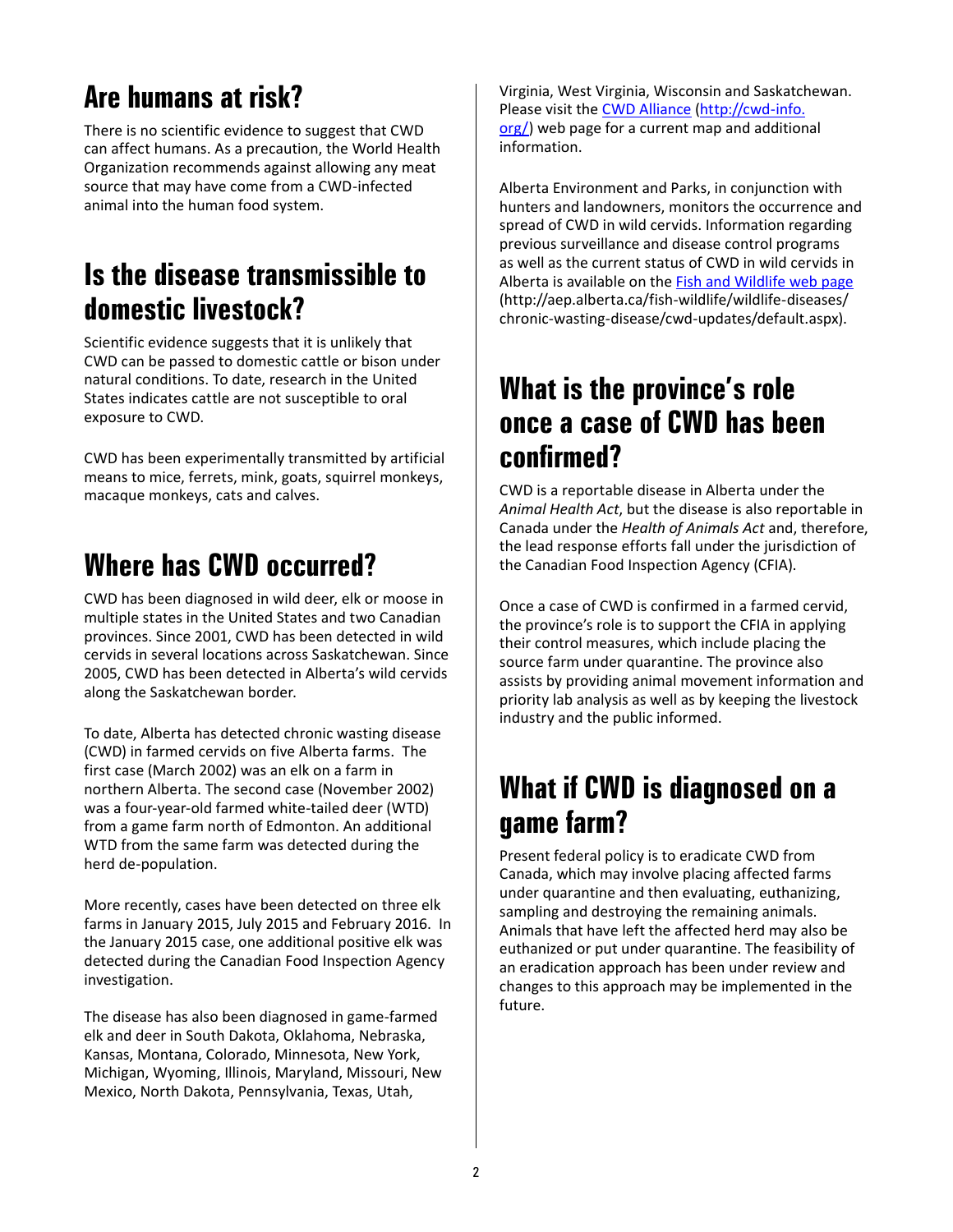# **Are humans at risk?**

There is no scientific evidence to suggest that CWD can affect humans. As a precaution, the World Health Organization recommends against allowing any meat source that may have come from a CWD-infected animal into the human food system.

#### **Is the disease transmissible to domestic livestock?**

Scientific evidence suggests that it is unlikely that CWD can be passed to domestic cattle or bison under natural conditions. To date, research in the United States indicates cattle are not susceptible to oral exposure to CWD.

CWD has been experimentally transmitted by artificial means to mice, ferrets, mink, goats, squirrel monkeys, macaque monkeys, cats and calves.

### **Where has CWD occurred?**

CWD has been diagnosed in wild deer, elk or moose in multiple states in the United States and two Canadian provinces. Since 2001, CWD has been detected in wild cervids in several locations across Saskatchewan. Since 2005, CWD has been detected in Alberta's wild cervids along the Saskatchewan border.

To date, Alberta has detected chronic wasting disease (CWD) in farmed cervids on five Alberta farms. The first case (March 2002) was an elk on a farm in northern Alberta. The second case (November 2002) was a four-year-old farmed white-tailed deer (WTD) from a game farm north of Edmonton. An additional WTD from the same farm was detected during the herd de-population.

More recently, cases have been detected on three elk farms in January 2015, July 2015 and February 2016. In the January 2015 case, one additional positive elk was detected during the Canadian Food Inspection Agency investigation.

The disease has also been diagnosed in game-farmed elk and deer in South Dakota, Oklahoma, Nebraska, Kansas, Montana, Colorado, Minnesota, New York, Michigan, Wyoming, Illinois, Maryland, Missouri, New Mexico, North Dakota, Pennsylvania, Texas, Utah,

Virginia, West Virginia, Wisconsin and Saskatchewan. Please visit the CWD Alliance (http://cwd-info. org/) web page for a current map and additional information.

Alberta Environment and Parks, in conjunction with hunters and landowners, monitors the occurrence and spread of CWD in wild cervids. Information regarding previous surveillance and disease control programs as well as the current status of CWD in wild cervids in Alberta is available on the Fish and Wildlife web page (http://aep.alberta.ca/fish-wildlife/wildlife-diseases/ chronic-wasting-disease/cwd-updates/default.aspx).

#### **What is the province's role once a case of CWD has been confirmed?**

CWD is a reportable disease in Alberta under the *Animal Health Act*, but the disease is also reportable in Canada under the *Health of Animals Act* and, therefore, the lead response efforts fall under the jurisdiction of the Canadian Food Inspection Agency (CFIA).

Once a case of CWD is confirmed in a farmed cervid, the province's role is to support the CFIA in applying their control measures, which include placing the source farm under quarantine. The province also assists by providing animal movement information and priority lab analysis as well as by keeping the livestock industry and the public informed.

#### **What if CWD is diagnosed on a game farm?**

Present federal policy is to eradicate CWD from Canada, which may involve placing affected farms under quarantine and then evaluating, euthanizing, sampling and destroying the remaining animals. Animals that have left the affected herd may also be euthanized or put under quarantine. The feasibility of an eradication approach has been under review and changes to this approach may be implemented in the future.